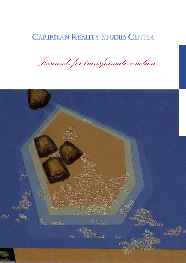# **CARIBBEAN REALITY STUDIES CENTER**

*Research for transformative action*

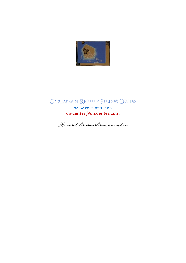

CARIBBEAN REALITY STUDIES CENTER [www.crscenter.com](http://www.crscenter.com/) **crscenter@crscenter.com**

*Research for transformative action*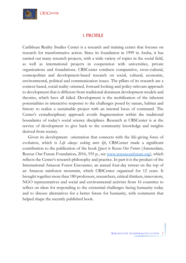

# **1. PROFILE**

Caribbean Reality Studies Center is a research and training center that focuses on research for transformative action. Since its foundation in 1999 in Aruba, it has carried out many research projects, with a wide variety of topics in the social field, as well as international projects in cooperation with universities, private organizations and foundations. CRSCenter conducts comparative, cross-cultural, cosmopolitan and development-based research on social, cultural, economic, environmental, political and communication issues. The pillars of its research are a context-based, social reality oriented, forward-looking and policy-relevant approach to development that is different from traditional dominant development models and theories, which have all failed. Development is the mobilization of the inherent potentialities in interactive response to the challenges posed by nature, habitat and history to realize a sustainable project with an internal locus of command. The Center's extradisciplinary approach avoids fragmentation within the traditional boundaries of today's social science disciplines. Research at CRSCenter is at the service of development to give back to the community knowledge and insights derived from society.

Given its development orientation that connects with the life-giving force of evolution, which is *Life always seeking more life*, CRSCenter made a significant contribution to the publication of the book *Quest to Rescue Our Future* (Amsterdam, Rescue Our Future Foundation, 2016, 555 p., see [www.rescueourfuture.org\)](http://www.rescueourfuture.org/), which reflects the Center's research philosophy and practice. In part it is the product of the International Amazon Forest Encounter, an annual four-day retreat on the top of an Amazon rainforest mountain, which CRSCenter organized for 12 years. It brought together more than 180 professors, researchers, critical thinkers, innovators, NGO representatives and social and environmental activists from 16 countries to reflect on ideas for responding to the existential challenges facing humanity today and to discuss alternatives for a better future for humanity, with comments that helped shape the recently published book.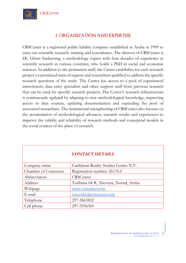

# **2. ORGANIZATION AND EXPERTISE**

CRSCenter is a registered public liability company established in Aruba in 1999 to carry out scientific research, training and consultancy. The director of CRSCenter is Dr. Glenn Sankatsing, a methodology expert with four decades of experience in scientific research in various countries, who holds a PhD in social and economic sciences. In addition to the permanent staff, the Center establishes for each research project a customized team of experts and researchers qualified to address the specific research questions of the study. The Center has access to a pool of experienced interviewers, data entry specialists and other support staff from previous research that can be used for specific research projects. The Center's research infrastructure is continuously updated by adapting to new methodological knowledge, improving access to data sources, updating documentation and expanding the pool of associated researchers. The institutional strengthening of CRSCenter also focuses on the accumulation of methodological advances, research results and experiences to improve the validity and reliability of research methods and conceptual models in the social context of the place of research.

|                            | <b>CONTACT DETAILS</b>                 |
|----------------------------|----------------------------------------|
| Company name               | Caribbean Reality Studies Center N.V.  |
| <b>Chamber of Commerce</b> | Registration number: 26135.0           |
| Abbreviation               | <b>CRSCenter</b>                       |
| Address                    | Turibana 68 B, Altovista, Noord, Aruba |
| Webpage                    | www.crscenter.com                      |
| E-mail                     | $\text{c}$ rscenter@crscenter.com      |
| Telephone                  | 297-5863852                            |
| Cell phone                 | 297-5936369                            |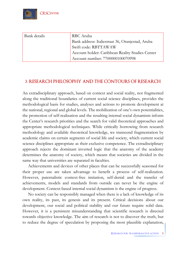

| Bank details | RBC Aruba                                        |
|--------------|--------------------------------------------------|
|              | Bank address: Italiestraat 36, Oranjestad, Aruba |
|              | Swift code: RBTTAWAW                             |
|              | Account holder: Caribbean Reality Studies Center |
|              | Account number: 7700000100070998                 |

# **3. RESEARCH PHILOSOPHY AND THE CONTOURS OF RESEARCH**

An extradisciplinary approach, based on context and social reality, not fragmented along the traditional boundaries of current social science disciplines, provides the methodological basis for studies, analyses and actions to promote development at the national, regional and global levels. The mobilization of one's own potentialities, the promotion of self-realization and the resulting internal social dynamism inform the Center's research priorities and the search for valid theoretical approaches and appropriate methodological techniques. While critically borrowing from research methodology and available theoretical knowledge, we transcend fragmentation by academic claims on certain segments of social life and society, which current social science disciplines appropriate as their exclusive competence. The extradisciplinary approach rejects the dominant inverted logic that the anatomy of the academy determines the anatomy of society, which means that societies are divided in the same way that universities are separated in faculties.

Achievements and devices of other places that can be successfully seasoned for their proper use are taken advantage to benefit a process of self-realization. However, paternalistic context-free imitation, self-denial and the transfer of achievements, models and standards from outside can never be the engine of development. Context-based internal social dynamism is the engine of progress.

No society can be responsibly managed when there is a lack of knowledge of its own reality, its past, its genesis and its present. Critical decisions about our development, our social and political stability and our future require solid data. However, it is a persistent misunderstanding that scientific research is directed towards objective knowledge. The aim of research is not to discover the truth, but to reduce the degree of speculation by proposing the most plausible explanation,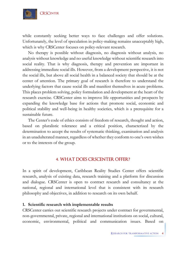

while constantly seeking better ways to face challenges and offer solutions. Unfortunately, the level of speculation in policy-making remains unacceptably high, which is why CRSCenter focuses on policy-relevant research.

No therapy is possible without diagnosis, no diagnosis without analysis, no analysis without knowledge and no useful knowledge without scientific research into social reality. That is why diagnosis, therapy and prevention are important in addressing immediate social ills. However, from a development perspective, it is not the social ills, but above all social health in a balanced society that should be at the center of attention. The primary goal of research is therefore to understand the underlying factors that cause social ills and manifest themselves in acute problems. This places problem solving, policy formulation and development at the heart of the research exercise. CRSCenter aims to improve life opportunities and prospects by expanding the knowledge base for actions that promote social, economic and political stability and well-being in healthy societies, which is a prerequisite for a sustainable future.

The Center's code of ethics consists of freedom of research, thought and action, based on pluralistic tolerance and a critical position, characterized by the determination to accept the results of systematic thinking, examination and analysis in an unadulterated manner, regardless of whether they conform to one's own wishes or to the interests of the group.

# **4. WHAT DOES CRSCENTER OFFER?**

In a spirit of development, Caribbean Reality Studies Center offers scientific research, analysis of existing data, research training and a platform for discussion and dialogue. CRSCenter is open to contract research and consultancy at the national, regional and international level that is consistent with its research philosophy and objectives, in addition to research on its own behalf.

## **1. Scientific research with implementable results**

CRSCenter carries out scientific research projects under contract for governmental, non-governmental, private, regional and international institutions on social, cultural, economic, environmental, political and communication issues. Based on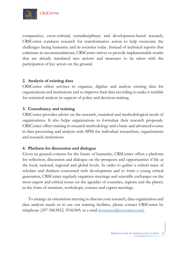

comparative, cross-cultural, extradisciplinary and development-based research, CRSCenter conducts research for transformative action to help overcome the challenges facing humanity and its societies today. Instead of technical reports that culminate in recommendations, CRSCenter strives to provide implementable results that are already translated into actions and measures to be taken with the participation of key actors on the ground.

## **2. Analysis of existing data**

CRSCenter offers services to organize, digitize and analyze existing data for organizations and institutions and to improve their data recording to make it suitable for statistical analysis in support of policy and decision-making.

## **3. Consultancy and training**

CRSCenter provides advice on the research, statistical and methodological needs of organizations. It also helps organizations to formulate their research proposals. CRSCenter offers training in research methodology and a basic and advanced course in data processing and analysis with SPSS for individual researchers, organizations and research institutions.

## **4. Platform for discussion and dialogue**

Given its general concern for the future of humanity, CRSCenter offers a platform for reflection, discussion and dialogue on the prospects and opportunities if life at the local, national, regional and global levels. In order to gather a critical mass of scholars and thinkers concerned with development and to form a young critical generation, CRSCenter regularly organizes meetings and scientific exchanges on the most urgent and critical issues on the agendas of countries, regions and the planet, in the form of seminars, workshops, courses and expert meetings.

To arrange an orientation meeting to discuss your research, data organization and data analysis needs or to use our training facilities, please contact CRSCenter by telephone (297-5863852, 5936369) or e-mail ( $\frac{\text{crescenter}(\text{a})\text{crescenter}(\text{com})}{\text{crescenter}(\text{com})}$ .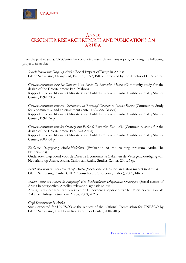# **Annex CRSCENTER RESEARCH REPORTS AND PUBLICATIONS ON ARUBA**

Over the past 20 years, CRSCenter has conducted research on many topics, including the following projects in Aruba:

*Sociale Impact van Drugs op Aruba* (Social Impact of Drugs in Aruba) Glenn Sankatsing. Oranjestad, Fundini, 1997, 190 p. (Executed by the director of CRSCenter)

*Gemeenschapsstudie voor het Ontwerp Van Parke Di Recreacion Mabon* (Community study for the design of the Entertainment Park Mabon)

Rapport uitgebracht aan het Ministerie van Publieke Werken. Aruba, Caribbean Reality Studies Center, 1999, 33 p.

*Gemeenschapsstudie voor een Commercieel en Recreatief Centrum te Sabana Basora* (Community Study for a commercial and entertainment center at Sabana Basora)

Rapport uitgebracht aan het Ministerie van Publieke Werken. Aruba, Caribbean Reality Studies Center, 1999, 36 p.

*Gemeenschapsstudie voor het Ontwerp van Parke di Recreacion Kas Ariba* (Community study for the design of the Entertainment Park Kas Ariba)

Rapport uitgebracht aan het Ministerie van Publieke Werken. Aruba, Caribbean Reality Studies Center, 2000, 64 p.

*Evaluatie Stageregeling Aruba-Nederland* (Evaluation of the training program Aruba-The Netherlands).

Onderzoek uitgevoerd voor de Directie Economische Zaken en de Vertegenwoordiging van Nederland op Aruba. Aruba, Caribbean Reality Studies Center, 2001, 58p.

*Beroepsonderwijs en Arbeidsmarkt op Aruba* (Vocational education and labor market in Aruba) Glenn Sankatsing. Aruba, CELA (Conseho di Educacion y Labor), 2001, 146 p.

*Sociale Sector van Aruba in Perspectief. Een Beleidsrelevant Diagnostisch Onderzoek* (Social sector of Aruba in perspective. A policy-relevant diagnostic study)

Aruba, Caribbean Reality Studies Center, Uitgevoerd in opdracht van het Ministerie van Sociale Zaken en Infrastructuur van Aruba, 2003, 202 p.

#### *Craft Development in Aruba*

Study executed for UNESCO at the request of the National Commission for UNESCO by Glenn Sankatsing, Caribbean Reality Studies Center, 2004, 40 p.